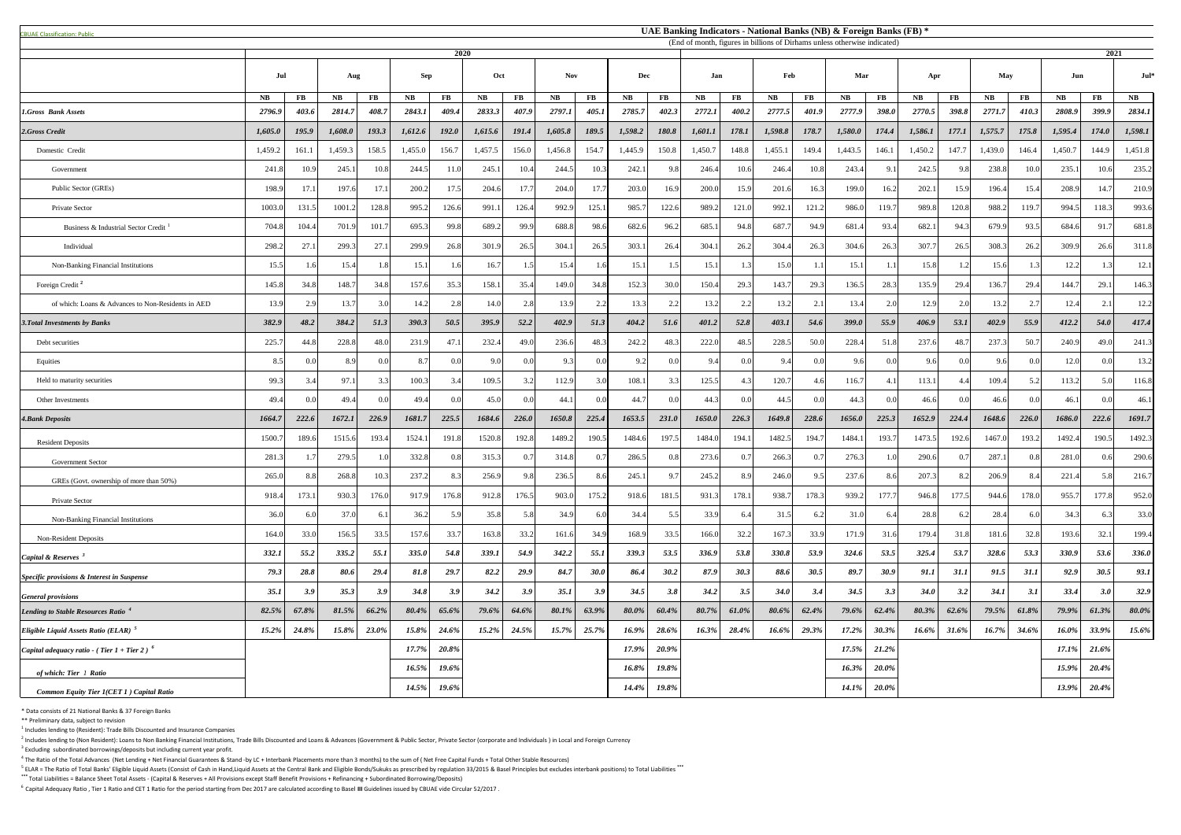<sup>5</sup> ELAR = The Ratio of Total Banks' Eligible Liquid Assets (Consist of Cash in Hand,Liquid Assets at the Central Bank and Eligible Bonds/Sukuks as prescribed by regulation 33/2015 & Basel Principles but excludes interbank **\*\*\*** Total Liabilities = Balance Sheet Total Assets - (Capital & Reserves + All Provisions except Staff Benefit Provisions + Refinancing + Subordinated Borrowing/Deposits)

| <b>CBUAF Classification: Public</b>                    | UAE Banking Indicators - National Banks (NB) & Foreign Banks (FB) *<br>(End of month, figures in billions of Dirhams unless otherwise indicated) |                |         |       |            |          |               |          |                |          |            |          |           |          |           |                |           |                |             |          |           |       |           |                  |          |
|--------------------------------------------------------|--------------------------------------------------------------------------------------------------------------------------------------------------|----------------|---------|-------|------------|----------|---------------|----------|----------------|----------|------------|----------|-----------|----------|-----------|----------------|-----------|----------------|-------------|----------|-----------|-------|-----------|------------------|----------|
|                                                        |                                                                                                                                                  |                |         |       |            | 2020     |               |          |                |          |            |          |           |          |           |                |           |                |             |          |           |       |           | 2021             |          |
|                                                        | Jul                                                                                                                                              |                | Aug     |       | <b>Sep</b> |          | Oct           |          | <b>Nov</b>     |          | <b>Dec</b> |          | Jan       |          | Feb       |                | Mar       |                | Apr         |          | May       |       | Jun       |                  | $Jul^*$  |
|                                                        | NB                                                                                                                                               | $\bf FB$       | NB      | FB    | <b>NB</b>  | $\bf FB$ | $N\mathbf{B}$ | $\bf FB$ | <b>NB</b>      | $\bf FB$ | NB         | $\bf FB$ | <b>NB</b> | $\bf FB$ | <b>NB</b> | $\bf FB$       | <b>NB</b> | FB             | <b>NB</b>   | $\bf FB$ | <b>NB</b> | FB    | <b>NB</b> | $\mathbf{FB}$    | NB       |
| 1.Gross Bank Assets                                    | 2796.9                                                                                                                                           | 403.6          | 2814.7  | 408.7 | 2843.1     | 409.4    | 2833.3        | 407.9    | 2797.1         | 405.1    | 2785.7     | 402.3    | 2772.1    | 400.2    | 2777.5    | 401.9          | 2777.9    | 398.0          | 2770.5      | 398.8    | 2771.7    | 410.3 | 2808.9    | 399.9            | 2834.1   |
| 2.Gross Credit                                         | 1,605.0                                                                                                                                          | 195.9          | 1,608.0 | 193.3 | 1,612.6    | 192.0    | 1,615.6       | 191.4    | 1,605.8        | 189.5    | 1,598.2    | 180.8    | 1,601.1   | 178.1    | 1,598.8   | 178.7          | 1,580.0   | 174.4          | 1,586.1     | 177.1    | 1,575.7   | 175.8 | 1,595.4   | 174.0            | 1,598.1  |
| Domestic Credit                                        | 1,459.2                                                                                                                                          | 161.1          | 1,459.3 | 158.5 | 1,455.0    | 156.7    | 1,457.5       | 156.0    | 1,456.8        | 154.7    | 1,445.9    | 150.8    | 1,450.7   | 148.8    | 1,455.1   | 149.4          | 1,443.5   | 146.1          | 1,450.2     | 147.7    | 1,439.0   | 146.4 | 1,450.7   | 144.9            | 1,451.8  |
| Government                                             | 241.8                                                                                                                                            | 10.9           | 245.1   | 10.8  | 244.5      | 11.0     | 245.1         | 10.4     | 244.5          | 10.3     | 242.       | 9.8      | 246.4     | 10.6     | 246.4     | 10.8           | 243.4     | 9.11           | 242.5       | 9.8      | 238.8     | 10.0  | 235.1     | 10.6             | 235.2    |
| Public Sector (GREs)                                   | 198.9                                                                                                                                            | 17.1           | 197.6   | 17.1  | 200.2      | 17.5     | 204.6         | 17.7     | 204.0          | 17.7     | 203.0      | 16.9     | 200.0     | 15.9     | 201.6     | 16.3           | 199.0     | 16.2           | 202.1       | 15.9     | 196.4     | 15.4  | 208.9     | 14.7             | 210.9    |
| Private Sector                                         | 1003.0                                                                                                                                           | 131.5          | 1001.2  | 128.8 | 995.2      | 126.6    | 991.1         | 126.4    | 992.9          | 125.1    | 985.7      | 122.6    | 989.2     | 121.0    | 992.1     | 121.2          | 986.0     | 119.7          | 989.8       | 120.8    | 988.2     | 119.7 | 994.5     | 118.3            | 993.6    |
| Business & Industrial Sector Credit                    | 704.8                                                                                                                                            | 104.4          | 701.9   | 101.7 | 695.3      | 99.8     | 689.2         | 99.9     | 688.8          | 98.6     | 682.6      | 96.2     | 685.      | 94.8     | 687.      | 94.9           | 681.4     | 93.4           | 682.        | 94.3     | 679.9     | 93.5  | 684.6     | 91.7             | 681.8    |
| Individual                                             | 298.2                                                                                                                                            | 27.1           | 299.3   | 27.   | 299.9      | 26.8     | 301.9         | 26.5     | 304.           | 26.5     | 303.       | 26.4     | 304.1     | 26.2     | 304.4     | 26.3           | 304.6     | 26.3           | 307.7       | 26.5     | 308.3     | 26.2  | 309.9     | 26.6             | 311.8    |
| Non-Banking Financial Institutions                     | 15.5                                                                                                                                             |                | 15.4    |       | 15.1       |          | 16.7          |          | 15.4           | 1.6      | 15.        |          | 15.1      |          | 15.0      | 1.1            | 15.1      |                | 15.8        |          | 15.6      |       | 12.2      |                  |          |
| Foreign Credit <sup>2</sup>                            | 145.8                                                                                                                                            | 34.8           | 148.7   | 34.8  | 157.6      | 35.3     | 158.1         | 35.4     | 149.0          | 34.8     | 152.3      | 30.0     | 150.4     | 29.3     | 143.7     | 29.3           | 136.5     | 28.3           | 135.9       | 29.4     | 136.7     | 29.4  | 144.7     | 29.1             | 146.3    |
| of which: Loans & Advances to Non-Residents in AED     | 13.9                                                                                                                                             | 2.9            | 13.7    |       | 14.2       | 2.8      | 14.0          | 2.8      | 13.9           | 2.2      | 13.3       | 2.2      | 13.2      |          | 13.2      | 2.1            | 13.4      | 2.0            | 12.9        | 2.0      | 13.2      | 2.7   | 12.4      | 2.1              | 12.2     |
| <b>3. Total Investments by Banks</b>                   | 382.9                                                                                                                                            | 48.2           | 384.2   | 51.3  | 390.3      | 50.5     | 395.9         | 52.2     | 402.9          | 51.3     | 404.2      | 51.6     | 401.2     | 52.8     | 403.1     | 54.6           | 399.0     | 55.9           | 406.9       | 53.1     | 402.9     | 55.9  | 412.2     | 54.0             | 417.4    |
| Debt securities                                        | 225.7                                                                                                                                            | 44.8           | 228.8   | 48.0  | 231.9      | 47.1     | 232.4         | 49.0     | 236.6          | 48.3     | 242.2      | 48.3     | 222.0     | 48.5     | 228.5     | 50.0           | 228.4     | 51.8           | 237.6       | 48.7     | 237.3     | 50.7  | 240.9     | 49.0             | 241.     |
| Equities                                               | 8.5                                                                                                                                              | 0.0            | 8.9     |       | 8.7        | 0.0      | $\mathbf{Q}$  | 0.0      | 9 <sup>3</sup> | 0.0      | 9.2        |          | 9.4       | 0.0      | 9.4       | 0.0            | 9.6       | 0.0            | 9.6         | 0.0      | 9.6       | 0.0   | 12.0      | 0.0 <sub>l</sub> | 13.2     |
| Held to maturity securities                            | 99.3                                                                                                                                             |                | 97.     |       | 100.3      | 3.4      | 109.5         | 3.2      | 112.9          | 3.0      | 108.       | 3.3      | 125.5     |          | 120.7     |                | 116.7     |                | 113.        |          | 109.4     | 5.2   | 113.2     | 5.0              | 116.8    |
| Other Investments                                      | 49.4                                                                                                                                             | 0 <sub>0</sub> | 49.4    |       | 49.4       | 0.0      | 45.           | 0.0      | 44.            | 0.0      | 44.7       |          | 44.3      |          | 44.5      | 0 <sub>0</sub> | 44.3      | 0 <sub>0</sub> | 46.6        | 0.0      | 46.6      | 0.0   | 46.1      |                  | 46.      |
| <b>4. Bank Deposits</b>                                | 1664.7                                                                                                                                           | 222.6          | 1672.1  | 226.9 | 1681.7     | 225.5    | 1684.6        | 226.0    | 1650.8         | 225.4    | 1653.5     | 231.0    | 1650.0    | 226.3    | 1649.8    | 228.6          | 1656.0    | 225.3          | 1652.9      | 224.4    | 1648.6    | 226.0 | 1686.0    | 222.6            | 1691.7   |
| <b>Resident Deposits</b>                               | 1500.                                                                                                                                            | 189.6          | 1515.6  | 193.4 | 1524.1     | 191.8    | 1520.8        | 192.8    | 1489.          | 190.5    | 1484.6     | 197.5    | 1484.0    | 194.1    | 1482.5    | 194.7          | 1484.1    | 193.           | 1473.5      | 192.6    | 1467.0    | 193.2 | 1492.     | 190.5            | 1492.    |
| Government Sector                                      | 281.3                                                                                                                                            |                | 279.5   |       | 332.8      | 0.8      | 315.3         | 0.7      | 314.8          | 0.7      | 286.5      | 0.8      | 273.6     | 0.7      | 266.3     | 0.7            | 276.3     |                | 290.6       |          | 287.1     | 0.8   | 281.0     | 0.6              | 290.6    |
| GREs (Govt. ownership of more than 50%)                | 265.0                                                                                                                                            | 8.8            | 268.8   | 10.3  | 237.2      | 8.3      | 256.9         | 9.8      | 236.5          | 8.6      | 245.       | 9.7      | 245.2     | 8.9      | 246.0     | 9.5            | 237.6     | 8.6            | 207.3       | 8.2      | 206.9     | 8.4   | 221.      | 5.8              | 216.     |
| Private Sector                                         | 918.4                                                                                                                                            | 173.1          | 930.3   | 176.0 | 917.9      | 176.8    | 912.8         | 176.5    | 903.0          | 175.2    | 918.6      | 181.5    | 931.3     | 178.1    | 938.      | 178.3          | 939.2     | 177.7          | 946.8       | 177.5    | 944.6     | 178.0 | 955.      | 177.8            | 952.0    |
| Non-Banking Financial Institutions                     | 36.0                                                                                                                                             | 6.0            | 37.0    |       | 36.2       | 5.9      | 35.8          | 5.8      | 34.9           | 6.0      | 34.4       | 5.5      | 33.9      | 6.4      | 31.5      | 6.2            | 31.0      | 6.4            | 28.8        | 6.2      | 28.4      | 6.0   | 34.3      | 6.3              | 33.0     |
| <b>Non-Resident Deposits</b>                           | 164.0                                                                                                                                            | 33.0           | 156.5   | 33.5  | 157.6      | 33.7     | 163.8         | 33.2     | 161.6          | 34.9     | 168.9      | 33.5     | 166.0     | 32.2     | 167.3     | 33.9           | 171.9     | 31.6           | 179.4       | 31.8     | 181.6     | 32.8  | 193.6     | 32.1             | 199.4    |
| Capital & Reserves                                     | 332.1                                                                                                                                            | 55.2           | 335.2   | 55.1  | 335.0      | 54.8     | 339.1         | 54.9     | 342.2          | 55.1     | 339.3      | 53.5     | 336.9     | 53.8     | 330.8     | 53.9           | 324.6     | 53.5           | 325.4       | 53.7     | 328.6     | 53.3  | 330.9     | 53.6             | 336.0    |
| Specific provisions & Interest in Suspense             | 79.3                                                                                                                                             | 28.8           | 80.6    | 29.4  | 81.8       | 29.7     | 82.2          | 29.9     | 84.7           | 30.0     | 86.4       | 30.2     | 87.9      | 30.3     | 88.6      | 30.5           | 89.7      | 30.9           | 91.1        | 31.1     | 91.5      | 31.1  | 92.9      | 30.5             | 93.1     |
| <b>General provisions</b>                              | 35.1                                                                                                                                             | 3.9            | 35.3    | 3.9   | 34.8       | 3.9      | 34.2          | 3.9      | 35.1           | 3.9      | 34.5       | 3.8      | 34.2      | 3.5      | 34.0      | 3.4            | 34.5      | 3.3            | <b>34.0</b> | 3.2      | 34.1      | 3.1   | 33.4      | 3.0              | 32.9     |
| Lending to Stable Resources Ratio <sup>4</sup>         | 82.5%                                                                                                                                            | 67.8%          | 81.5%   | 66.2% | 80.4%      | 65.6%    | 79.6%         | 64.6%    | 80.1%          | 63.9%    | 80.0%      | 60.4%    | 80.7%     | 61.0%    | 80.6%     | 62.4%          | 79.6%     | 62.4%          | 80.3%       | 62.6%    | 79.5%     | 61.8% | 79.9%     | 61.3%            | $80.0\%$ |
| <i>Eligible Liquid Assets Ratio (ELAR)</i> $5$         | 15.2%                                                                                                                                            | 24.8%          | 15.8%   | 23.0% | 15.8%      | 24.6%    | 15.2%         | 24.5%    | 15.7%          | 25.7%    | 16.9%      | 28.6%    | 16.3%     | 28.4%    | 16.6%     | 29.3%          | 17.2%     | 30.3%          | 16.6%       | 31.6%    | 16.7%     | 34.6% | 16.0%     | 33.9%            | 15.6%    |
| <i>Capital adequacy ratio - (Tier 1 + Tier 2)</i> $^6$ |                                                                                                                                                  |                |         |       | 17.7%      | 20.8%    |               |          |                |          | 17.9%      | 20.9%    |           |          |           |                | 17.5%     | 21.2%          |             |          |           |       | $17.1\%$  | 21.6%            |          |
| of which: Tier 1 Ratio                                 |                                                                                                                                                  |                |         |       | 16.5%      | 19.6%    |               |          |                |          | 16.8%      | 19.8%    |           |          |           |                | 16.3%     | $20.0\%$       |             |          |           |       | 15.9%     | 20.4%            |          |
| <b>Common Equity Tier 1(CET 1) Capital Ratio</b>       |                                                                                                                                                  |                |         |       | 14.5%      | 19.6%    |               |          |                |          | 14.4%      | 19.8%    |           |          |           |                | 14.1%     | $20.0\%$       |             |          |           |       | 13.9%     | $20.4\%$         |          |

\* Data consists of 21 National Banks & 37 Foreign Banks

\*\* Preliminary data, subject to revision

 $<sup>1</sup>$  Includes lending to (Resident): Trade Bills Discounted and Insurance Companies</sup>

 $^2$  Includes lending to (Non Resident): Loans to Non Banking Financial Institutions, Trade Bills Discounted and Loans & Advances (Government & Public Sector, Private Sector (corporate and Individuals) in Local and Foreig  $3$  Excluding subordinated borrowings/deposits but including current year profit.

 $^4$  The Ratio of the Total Advances (Net Lending + Net Financial Guarantees & Stand -by LC + Interbank Placements more than 3 months) to the sum of (Net Free Capital Funds + Total Other Stable Resources)

<sup>6</sup>Capital Adequacy Ratio , Tier 1 Ratio and CET 1 Ratio for the period starting from Dec 2017 are calculated according to Basel **III** Guidelines issued by CBUAE vide Circular 52/2017 .